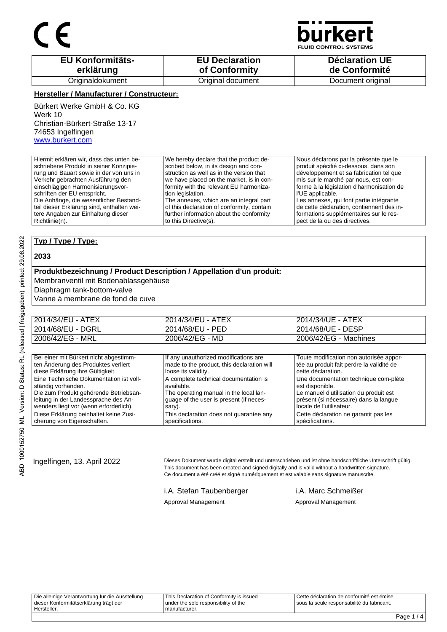

**JID CONTROL SYSTEMS** 

| <b>EU Konformitäts-</b> | <b>EU Declaration</b> | <b>Déclaration UE</b> |
|-------------------------|-----------------------|-----------------------|
| erklärung               | of Conformity         | de Conformité         |
| Originaldokument        | Original document     | Document original     |

### **Hersteller / Manufacturer / Constructeur:**

Bürkert Werke GmbH & Co. KG Werk 10 Christian-Bürkert-Straße 13-17 74653 Ingelfingen www.burkert.com

Hiermit erklären wir, dass das unten beschriebene Produkt in seiner Konzipierung und Bauart sowie in der von uns in Verkehr gebrachten Ausführung den einschlägigen Harmonisierungsvorschriften der EU entspricht. Die Anhänge, die wesentlicher Bestandteil dieser Erklärung sind, enthalten weitere Angaben zur Einhaltung dieser Richtlinie(n). We hereby declare that the product described below, in its design and construction as well as in the version that we have placed on the market, is in conformity with the relevant EU harmonization legislation. The annexes, which are an integral part of this declaration of conformity, contain further information about the conformity to this Directive(s). Nous déclarons par la présente que le produit spécifié ci-dessous, dans son développement et sa fabrication tel que mis sur le marché par nous, est conforme à la législation d'harmonisation de l'UE applicable. Les annexes, qui font partie intégrante de cette déclaration, contiennent des informations supplémentaires sur le respect de la ou des directives.

### **Typ / Type / Type:**

### **2033**

### **Produktbezeichnung / Product Description / Appellation d'un produit:**

Membranventil mit Bodenablassgehäuse

Diaphragm tank-bottom-valve

Vanne à membrane de fond de cuve

| 2014/34/EU - ATEX | 2014/34/EU - ATEX | 2014/34/UE - ATEX     |
|-------------------|-------------------|-----------------------|
| 2014/68/EU - DGRL | 2014/68/EU - PED  | 2014/68/UE - DESP     |
| 2006/42/EG - MRL  | 2006/42/EG - MD   | 2006/42/EG - Machines |

| Bei einer mit Bürkert nicht abgestimm-  | If any unauthorized modifications are      | Toute modification non autorisée appor-   |
|-----------------------------------------|--------------------------------------------|-------------------------------------------|
| ten Änderung des Produktes verliert     | made to the product, this declaration will | tée au produit fait perdre la validité de |
| diese Erklärung ihre Gültigkeit.        | loose its validity.                        | cette déclaration.                        |
| Eine Technische Dokumentation ist voll- | A complete technical documentation is      | Une documentation technique com-plète     |
| ständig vorhanden.                      | available.                                 | est disponible.                           |
| Die zum Produkt gehörende Betriebsan-   | The operating manual in the local lan-     | Le manuel d'utilisation du produit est    |
| leitung in der Landessprache des An-    | quage of the user is present (if neces-    | présent (si nécessaire) dans la langue    |
| wenders liegt vor (wenn erforderlich).  | sary).                                     | locale de l'utilisateur.                  |
| Diese Erklärung beinhaltet keine Zusi-  | This declaration does not guarantee any    | Cette déclaration ne garantit pas les     |
| cherung von Eigenschaften.              | specifications.                            | spécifications.                           |

Ingelfingen, 13. April 2022 Dieses Dokument wurde digital erstellt und unterschrieben und ist ohne handschriftliche Unterschrift gültig. This document has been created and signed digitally and is valid without a handwritten signature. Ce document a été créé et signé numériquement et est valable sans signature manuscrite.

i.A. Stefan Taubenberger i.A. Marc Schmeißer

Approval Management **Approval Management** Approval Management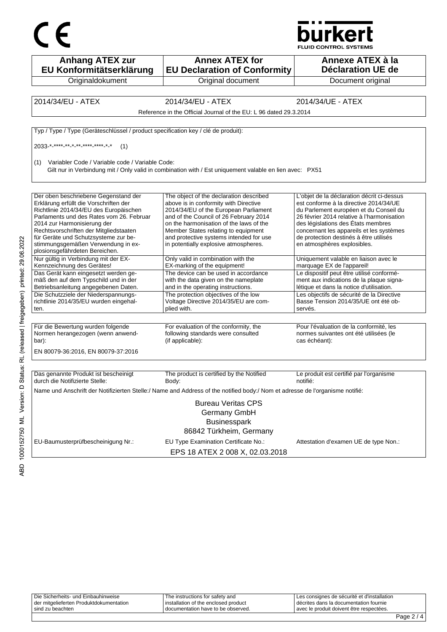



| <b>Anhang ATEX zur</b><br>EU Konformitätserklärung                                                                                                                                                                                                                                                                                                            | <b>Annex ATEX for</b><br><b>EU Declaration of Conformity</b>                                                                                                                                                                                                                                                                              | Annexe ATEX à la<br><b>Déclaration UE de</b>                                                                                                                                                                                                                                                                                            |
|---------------------------------------------------------------------------------------------------------------------------------------------------------------------------------------------------------------------------------------------------------------------------------------------------------------------------------------------------------------|-------------------------------------------------------------------------------------------------------------------------------------------------------------------------------------------------------------------------------------------------------------------------------------------------------------------------------------------|-----------------------------------------------------------------------------------------------------------------------------------------------------------------------------------------------------------------------------------------------------------------------------------------------------------------------------------------|
| Originaldokument                                                                                                                                                                                                                                                                                                                                              | Original document                                                                                                                                                                                                                                                                                                                         | Document original                                                                                                                                                                                                                                                                                                                       |
|                                                                                                                                                                                                                                                                                                                                                               |                                                                                                                                                                                                                                                                                                                                           |                                                                                                                                                                                                                                                                                                                                         |
| 2014/34/EU - ATEX                                                                                                                                                                                                                                                                                                                                             | 2014/34/EU - ATEX                                                                                                                                                                                                                                                                                                                         | 2014/34/UE - ATEX                                                                                                                                                                                                                                                                                                                       |
|                                                                                                                                                                                                                                                                                                                                                               | Reference in the Official Journal of the EU: L 96 dated 29.3.2014                                                                                                                                                                                                                                                                         |                                                                                                                                                                                                                                                                                                                                         |
| Typ / Type / Type (Geräteschlüssel / product specification key / clé de produit):                                                                                                                                                                                                                                                                             |                                                                                                                                                                                                                                                                                                                                           |                                                                                                                                                                                                                                                                                                                                         |
| 2033 * **** ** * ** **** **** * *<br>(1)                                                                                                                                                                                                                                                                                                                      |                                                                                                                                                                                                                                                                                                                                           |                                                                                                                                                                                                                                                                                                                                         |
| Variabler Code / Variable code / Variable Code:<br>(1)                                                                                                                                                                                                                                                                                                        | Gilt nur in Verbindung mit / Only valid in combination with / Est uniquement valable en lien avec: PX51                                                                                                                                                                                                                                   |                                                                                                                                                                                                                                                                                                                                         |
| Der oben beschriebene Gegenstand der<br>Erklärung erfüllt die Vorschriften der<br>Richtlinie 2014/34/EU des Europäischen<br>Parlaments und des Rates vom 26. Februar<br>2014 zur Harmonisierung der<br>Rechtsvorschriften der Mitgliedstaaten<br>für Geräte und Schutzsysteme zur be-<br>stimmungsgemäßen Verwendung in ex-<br>plosionsgefährdeten Bereichen. | The object of the declaration described<br>above is in conformity with Directive<br>2014/34/EU of the European Parliament<br>and of the Council of 26 February 2014<br>on the harmonisation of the laws of the<br>Member States relating to equipment<br>and protective systems intended for use<br>in potentially explosive atmospheres. | L'objet de la déclaration décrit ci-dessus<br>est conforme à la directive 2014/34/UE<br>du Parlement européen et du Conseil du<br>26 février 2014 relative à l'harmonisation<br>des législations des États membres<br>concernant les appareils et les systèmes<br>de protection destinés à être utilisés<br>en atmosphères explosibles. |
| Nur gültig in Verbindung mit der EX-<br>Kennzeichnung des Gerätes!                                                                                                                                                                                                                                                                                            | Only valid in combination with the<br>EX-marking of the equipment!                                                                                                                                                                                                                                                                        | Uniquement valable en liaison avec le<br>marquage EX de l'appareil!                                                                                                                                                                                                                                                                     |
| Das Gerät kann eingesetzt werden ge-<br>mäß den auf dem Typschild und in der<br>Betriebsanleitung angegebenen Daten.                                                                                                                                                                                                                                          | The device can be used in accordance<br>with the data given on the nameplate<br>and in the operating instructions.                                                                                                                                                                                                                        | Le dispositif peut être utilisé conformé-<br>ment aux indications de la plaque signa-<br>létique et dans la notice d'utilisation.                                                                                                                                                                                                       |
| Die Schutzziele der Niederspannungs-<br>richtlinie 2014/35/EU wurden eingehal-<br>ten.                                                                                                                                                                                                                                                                        | The protection objectives of the low<br>Voltage Directive 2014/35/EU are com-<br>plied with.                                                                                                                                                                                                                                              | Les objectifs de sécurité de la Directive<br>Basse Tension 2014/35/UE ont été ob-<br>servés.                                                                                                                                                                                                                                            |
| Für die Bewertung wurden folgende<br>Normen herangezogen (wenn anwend-<br>bar):<br>EN 80079-36:2016, EN 80079-37:2016                                                                                                                                                                                                                                         | For evaluation of the conformity, the<br>following standards were consulted<br>(if applicable):                                                                                                                                                                                                                                           | Pour l'évaluation de la conformité, les<br>normes suivantes ont été utilisées (le<br>cas échéant):                                                                                                                                                                                                                                      |
|                                                                                                                                                                                                                                                                                                                                                               |                                                                                                                                                                                                                                                                                                                                           |                                                                                                                                                                                                                                                                                                                                         |
| Das genannte Produkt ist bescheinigt<br>durch die Notifizierte Stelle:                                                                                                                                                                                                                                                                                        | The product is certified by the Notified<br>Body:                                                                                                                                                                                                                                                                                         | Le produit est certifié par l'organisme<br>notifié:                                                                                                                                                                                                                                                                                     |
|                                                                                                                                                                                                                                                                                                                                                               | Name und Anschrift der Notifizierten Stelle:/ Name and Address of the notified body:/ Nom et adresse de l'organisme notifié:                                                                                                                                                                                                              |                                                                                                                                                                                                                                                                                                                                         |
|                                                                                                                                                                                                                                                                                                                                                               | <b>Bureau Veritas CPS</b><br>Germany GmbH<br><b>Businesspark</b><br>86842 Türkheim, Germany                                                                                                                                                                                                                                               |                                                                                                                                                                                                                                                                                                                                         |
| EU-Baumusterprüfbescheinigung Nr.:                                                                                                                                                                                                                                                                                                                            | EU Type Examination Certificate No.:<br>EPS 18 ATEX 2 008 X, 02.03.2018                                                                                                                                                                                                                                                                   | Attestation d'examen UE de type Non.:                                                                                                                                                                                                                                                                                                   |

| sind zu beachten                        | documentation have to be observed.     | I avec le produit doivent être respectées.  |  |
|-----------------------------------------|----------------------------------------|---------------------------------------------|--|
| der mitgelieferten Produktdokumentation | l installation of the enclosed product | I décrites dans la documentation fournie    |  |
| Die Sicherheits- und Einbauhinweise     | The instructions for safety and        | Les consignes de sécurité et d'installation |  |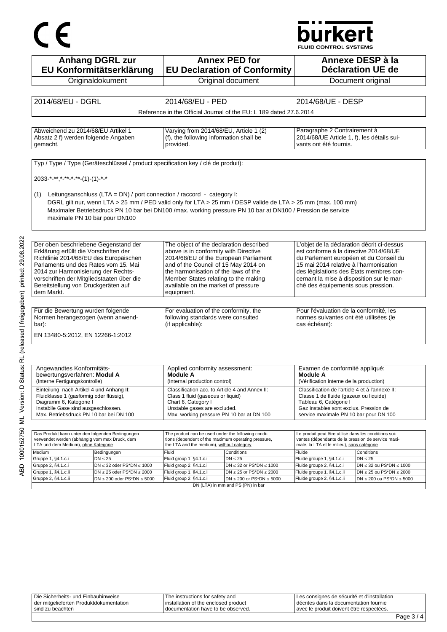# $C \in$

## **burkert**

**FLUID CONTROL SYSTEMS** 

| <b>Anhang DGRL zur</b><br>EU Konformitätserklärung                                | <b>Annex PED for</b><br><b>EU Declaration of Conformity</b>                                                 | Annexe DESP à la<br><b>Déclaration UE de</b>                                         |
|-----------------------------------------------------------------------------------|-------------------------------------------------------------------------------------------------------------|--------------------------------------------------------------------------------------|
| Originaldokument                                                                  | Original document                                                                                           | Document original                                                                    |
| 2014/68/EU - DGRL                                                                 | 2014/68/EU - PED                                                                                            | 2014/68/UE - DESP                                                                    |
|                                                                                   |                                                                                                             |                                                                                      |
|                                                                                   | Reference in the Official Journal of the EU: L 189 dated 27.6.2014                                          |                                                                                      |
| Abweichend zu 2014/68/EU Artikel 1                                                |                                                                                                             |                                                                                      |
| Absatz 2 f) werden folgende Angaben                                               | Varying from 2014/68/EU, Article 1 (2)<br>(f), the following information shall be                           | Paragraphe 2 Contrairement à<br>2014/68/UE Article 1, f), les détails sui-           |
| gemacht.                                                                          | provided.                                                                                                   | vants ont été fournis.                                                               |
|                                                                                   |                                                                                                             |                                                                                      |
| Typ / Type / Type (Geräteschlüssel / product specification key / clé de produit): |                                                                                                             |                                                                                      |
|                                                                                   |                                                                                                             |                                                                                      |
| 2033-*-**,*-**-*-**-(1)-(1)-*-*                                                   |                                                                                                             |                                                                                      |
|                                                                                   |                                                                                                             |                                                                                      |
| Leitungsanschluss (LTA = DN) / port connection / raccord - category l:<br>(1)     |                                                                                                             |                                                                                      |
|                                                                                   | DGRL gilt nur, wenn LTA > 25 mm / PED valid only for LTA > 25 mm / DESP valide de LTA > 25 mm (max. 100 mm) |                                                                                      |
|                                                                                   | Maximaler Betriebsdruck PN 10 bar bei DN100 /max. working pressure PN 10 bar at DN100 / Pression de service |                                                                                      |
| maximale PN 10 bar pour DN100                                                     |                                                                                                             |                                                                                      |
|                                                                                   |                                                                                                             |                                                                                      |
|                                                                                   |                                                                                                             |                                                                                      |
| Der oben beschriebene Gegenstand der                                              | The object of the declaration described                                                                     | L'objet de la déclaration décrit ci-dessus                                           |
| Erklärung erfüllt die Vorschriften der                                            | above is in conformity with Directive                                                                       | est conforme à la directive 2014/68/UE                                               |
| Richtlinie 2014/68/EU des Europäischen<br>Parlaments und des Rates vom 15. Mai    | 2014/68/EU of the European Parliament                                                                       | du Parlement européen et du Conseil du                                               |
|                                                                                   | and of the Council of 15 May 2014 on<br>the harmonisation of the laws of the                                | 15 mai 2014 relative à l'harmonisation                                               |
| 2014 zur Harmonisierung der Rechts-                                               | Member States relating to the making                                                                        | des législations des États membres con-<br>cernant la mise à disposition sur le mar- |
| vorschriften der Mitgliedstaaten über die<br>Bereitstellung von Druckgeräten auf  | available on the market of pressure                                                                         | ché des équipements sous pression.                                                   |
| dem Markt.                                                                        | equipment.                                                                                                  |                                                                                      |
|                                                                                   |                                                                                                             |                                                                                      |
| Für die Bewertung wurden folgende                                                 | For evaluation of the conformity, the                                                                       | Pour l'évaluation de la conformité, les                                              |
| Normen herangezogen (wenn anwend-                                                 | following standards were consulted                                                                          | normes suivantes ont été utilisées (le                                               |
| bar):                                                                             | (if applicable):                                                                                            | cas échéant):                                                                        |
|                                                                                   |                                                                                                             |                                                                                      |
| EN 13480-5:2012, EN 12266-1:2012                                                  |                                                                                                             |                                                                                      |
|                                                                                   |                                                                                                             |                                                                                      |
|                                                                                   |                                                                                                             |                                                                                      |
| Angewandtes Konformitäts-                                                         | Applied conformity assessment:                                                                              | Examen de conformité appliqué:                                                       |
| bewertungsverfahren: Modul A                                                      | <b>Module A</b>                                                                                             | <b>Module A</b>                                                                      |
| (Interne Fertigungskontrolle)                                                     | (Internal production control)                                                                               | (Vérification interne de la production)                                              |
| Einteilung nach Artikel 4 und Anhang II:                                          | Classification acc. to Article 4 and Annex II:                                                              | Classification de l'article 4 et à l'annexe II:                                      |
| Fluidklasse 1 (gasförmig oder flüssig),<br>Diagramm 6, Kategorie I                | Class 1 fluid (gaseous or liquid)                                                                           | Classe 1 de fluide (gazeux ou liquide)                                               |
| Instabile Gase sind ausgeschlossen.                                               | Chart 6, Category I<br>Unstable gases are excluded.                                                         | Tableau 6, Catégorie I<br>Gaz instables sont exclus. Pression de                     |
| Max. Betriebsdruck PN 10 bar bei DN 100                                           | Max. working pressure PN 10 bar at DN 100                                                                   | service maximale PN 10 bar pour DN 100                                               |
|                                                                                   |                                                                                                             |                                                                                      |
| Das Produkt kann unter den folgenden Bedingungen                                  | The product can be used under the following condi-                                                          | Le produit peut être utilisé dans les conditions sui-                                |
| verwendet werden (abhängig vom max Druck, dem                                     | tions (dependent of the maximum operating pressure,                                                         | vantes (dépendante de la pression de service maxi-                                   |
| LTA und dem Medium), ohne Kategorie                                               | the LTA and the medium), without category                                                                   | male, la LTA et le milieu), sans catégorie                                           |
| Bedingungen<br>Medium<br>Grunna 1 84 1 c <sub>i</sub><br>$\n  25\n$               | Fluid<br>Conditions<br>$\n  25\n$<br>$Fl$ id aroun 1 $&41$ c i                                              | Fluide<br>Conditions<br>$N = 25$<br>Fluide groupe 1 84 1 ci                          |
|                                                                                   |                                                                                                             |                                                                                      |

Gruppe 2, §4.1.c.i

Gruppe 1, §4.1.c.ii<br>Gruppe 1, §4.1.c.ii<br>Gruppe 2, §4.1.c.ii

 $DN \leq 32$  oder PS\*DN  $\leq 1000$ 

 $DN \le 25$  oder PS\*DN  $\le 2000$ 

 $DN \le 200$  oder PS\*DN  $\le 5000$ 

Fluid group 2, §4.1.c.i

Fluid group 1, §4.1.c.ii<br>Fluid group 1, §4.1.c.ii<br>Fluid group 2, §4.1.c.ii

| Die Sicherheits- und Einbauhinweise       | The instructions for safety and        | Les consignes de sécurité et d'installation |  |
|-------------------------------------------|----------------------------------------|---------------------------------------------|--|
| I der mitgelieferten Produktdokumentation | I installation of the enclosed product | décrites dans la documentation fournie      |  |
| I sind zu beachten                        | I documentation have to be observed.   | avec le produit doivent être respectées.    |  |
|                                           |                                        |                                             |  |

 $DN \leq 32$  or PS\*DN  $\leq 1000$ 

 $DN \le 25$  or  $PS^*DN \le 2000$ 

 $\boxed{\text{DN} \leq 200 \text{ or } \text{PS}^* \text{DN} \leq 5000}$ 

DN (LTA) in mm and PS (PN) in bar

 $DN \leq 32$  ou PS\*DN  $\leq 1000$ 

 $DN \le 25$  ou PS\*DN  $\le 2000$ 

 $DN \le 200$  ou PS\*DN  $\le 5000$ 

Fluide groupe 2, §4.1.c.i

Fluide groupe 1, §4.1.c.ii<br>Fluide groupe 1, §4.1.c.ii<br>Fluide groupe 2, §4.1.c.ii